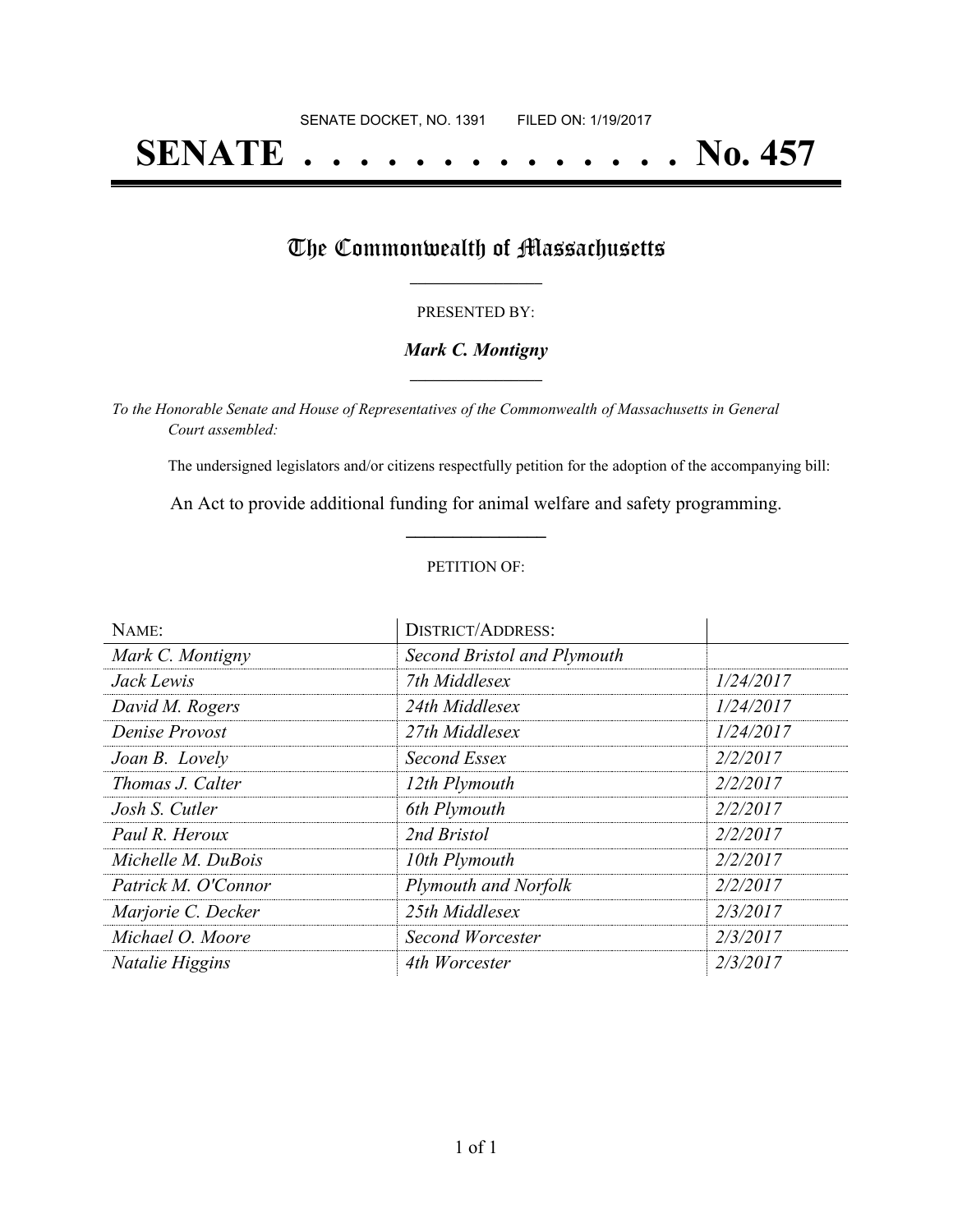# **SENATE . . . . . . . . . . . . . . No. 457**

## The Commonwealth of Massachusetts

#### PRESENTED BY:

#### *Mark C. Montigny* **\_\_\_\_\_\_\_\_\_\_\_\_\_\_\_\_\_**

*To the Honorable Senate and House of Representatives of the Commonwealth of Massachusetts in General Court assembled:*

The undersigned legislators and/or citizens respectfully petition for the adoption of the accompanying bill:

An Act to provide additional funding for animal welfare and safety programming. **\_\_\_\_\_\_\_\_\_\_\_\_\_\_\_**

#### PETITION OF:

| NAME:               | <b>DISTRICT/ADDRESS:</b>    |           |
|---------------------|-----------------------------|-----------|
| Mark C. Montigny    | Second Bristol and Plymouth |           |
| Jack Lewis          | 7th Middlesex               | 1/24/2017 |
| David M. Rogers     | 24th Middlesex              | 1/24/2017 |
| Denise Provost      | 27th Middlesex              | 1/24/2017 |
| Joan B. Lovely      | Second Essex                | 2/2/2017  |
| Thomas J. Calter    | 12th Plymouth               | 2/2/2017  |
| Josh S. Cutler      | 6th Plymouth                | 2/2/2017  |
| Paul R. Heroux      | 2nd Bristol                 | 2/2/2017  |
| Michelle M. DuBois  | 10th Plymouth               | 2/2/2017  |
| Patrick M. O'Connor | Plymouth and Norfolk        | 2/2/2017  |
| Marjorie C. Decker  | 25th Middlesex              | 2/3/2017  |
| Michael O. Moore    | Second Worcester            | 2/3/2017  |
| Natalie Higgins     | 4th Worcester               | 2/3/2017  |